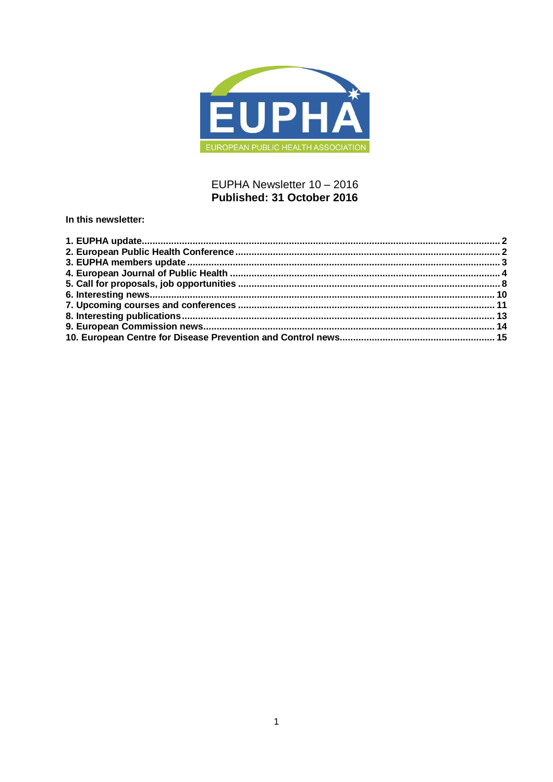

# EUPHA Newsletter 10 - 2016 Published: 31 October 2016

In this newsletter: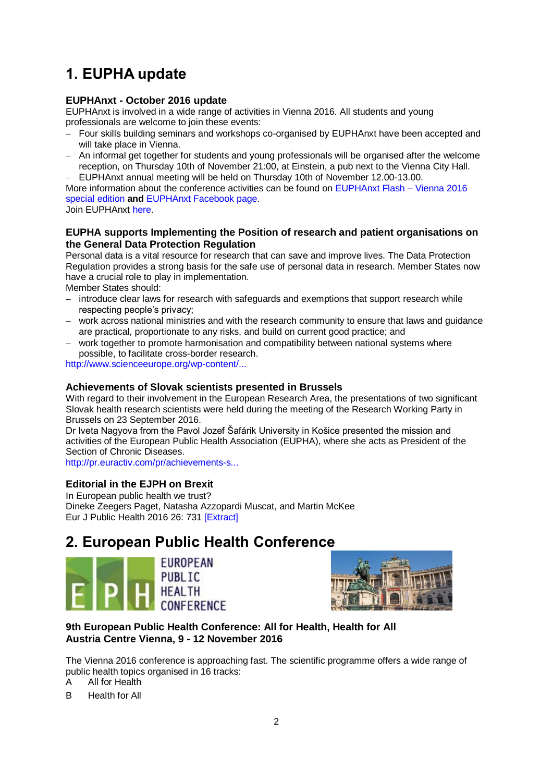# <span id="page-1-0"></span>**1. EUPHA update**

# **EUPHAnxt - October 2016 update**

EUPHAnxt is involved in a wide range of activities in Vienna 2016. All students and young professionals are welcome to join these events:

- Four skills building seminars and workshops co-organised by EUPHAnxt have been accepted and will take place in Vienna.
- An informal get together for students and young professionals will be organised after the welcome reception, on Thursday 10th of November 21:00, at Einstein, a pub next to the Vienna City Hall.

 EUPHAnxt annual meeting will be held on Thursday 10th of November 12.00-13.00. More information about the conference activities can be found on [EUPHAnxt Flash –](https://eupha.org/euphanxt-flash) Vienna 2016 [special edition](https://eupha.org/euphanxt-flash) **and** [EUPHAnxt Facebook page.](http://www.facebook.com/groups/165084840567729/) Join EUPHAnxt [here.](https://eupha.org/euphanxt)

## **EUPHA supports Implementing the Position of research and patient organisations on the General Data Protection Regulation**

Personal data is a vital resource for research that can save and improve lives. The Data Protection Regulation provides a strong basis for the safe use of personal data in research. Member States now have a crucial role to play in implementation.

Member States should:

- introduce clear laws for research with safeguards and exemptions that support research while respecting people's privacy;
- work across national ministries and with the research community to ensure that laws and guidance are practical, proportionate to any risks, and build on current good practice; and
- work together to promote harmonisation and compatibility between national systems where possible, to facilitate cross-border research.

[http://www.scienceeurope.org/wp-content/...](http://www.scienceeurope.org/wp-content/uploads/2016/10/EU-GDPR-implementation-Sep-2016.pdf)

## **Achievements of Slovak scientists presented in Brussels**

With regard to their involvement in the European Research Area, the presentations of two significant Slovak health research scientists were held during the meeting of the Research Working Party in Brussels on 23 September 2016.

Dr Iveta Nagyova from the Pavol Jozef Šafárik University in Košice presented the mission and activities of the European Public Health Association (EUPHA), where she acts as President of the Section of Chronic Diseases.

[http://pr.euractiv.com/pr/achievements-s...](http://pr.euractiv.com/pr/achievements-slovak-scientists-presented-brussels-146448)

# **Editorial in the EJPH on Brexit**

In European public health we trust? Dineke Zeegers Paget, Natasha Azzopardi Muscat, and Martin McKee Eur J Public Health 2016 26: 731 [\[Extract\]](http://eurpub.oxfordjournals.org/content/26/5/731.extract?etoc)

# <span id="page-1-1"></span>**2. European Public Health Conference**





## **9th European Public Health Conference: All for Health, Health for All Austria Centre Vienna, 9 - 12 November 2016**

The Vienna 2016 conference is approaching fast. The scientific programme offers a wide range of public health topics organised in 16 tracks:

A All for Health

B Health for All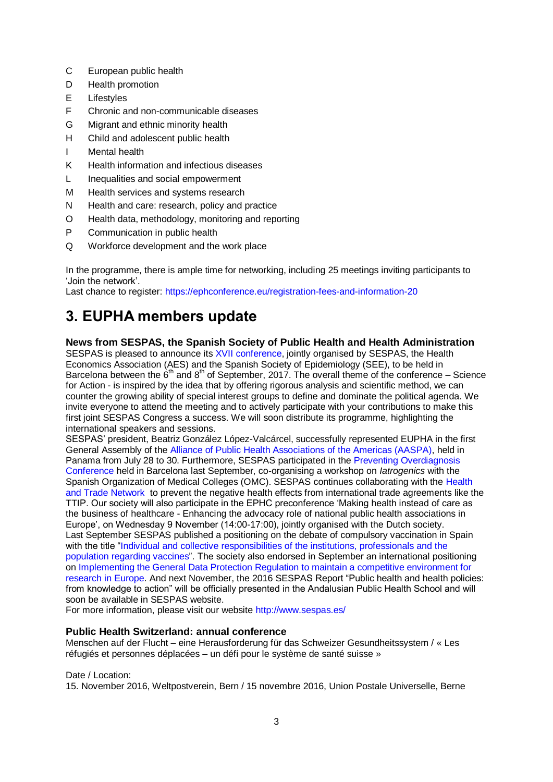- C European public health
- D Health promotion
- E Lifestyles
- F Chronic and non-communicable diseases
- G Migrant and ethnic minority health
- H Child and adolescent public health
- I Mental health
- K Health information and infectious diseases
- L Inequalities and social empowerment
- M Health services and systems research
- N Health and care: research, policy and practice
- O Health data, methodology, monitoring and reporting
- P Communication in public health
- Q Workforce development and the work place

In the programme, there is ample time for networking, including 25 meetings inviting participants to 'Join the network'.

Last chance to register:<https://ephconference.eu/registration-fees-and-information-20>

# <span id="page-2-0"></span>**3. EUPHA members update**

## **News from SESPAS, the Spanish Society of Public Health and Health Administration**

SESPAS is pleased to announce its [XVII conference,](http://congresosespas.es/en/) jointly organised by SESPAS, the Health Economics Association (AES) and the Spanish Society of Epidemiology (SEE), to be held in Barcelona between the 6<sup>th</sup> and 8<sup>th</sup> of September, 2017. The overall theme of the conference – Science for Action - is inspired by the idea that by offering rigorous analysis and scientific method, we can counter the growing ability of special interest groups to define and dominate the political agenda. We invite everyone to attend the meeting and to actively participate with your contributions to make this first joint SESPAS Congress a success. We will soon distribute its programme, highlighting the international speakers and sessions.

SESPAS' president, Beatriz González López-Valcárcel, successfully represented EUPHA in the first General Assembly of the [Alliance of Public Health Associations of the Americas \(AASPA\),](http://www.wfpha.org/publications/news/139-2015-04-30-07-34-46) held in Panama from July 28 to 30. Furthermore, SESPAS participated in the [Preventing Overdiagnosis](http://www.preventingoverdiagnosis.net/?page_id=1180)  [Conference](http://www.preventingoverdiagnosis.net/?page_id=1180) held in Barcelona last September, co-organising a workshop on *Iatrogenics* with the Spanish Organization of Medical Colleges (OMC). SESPAS continues collaborating with the [Health](http://www.healthandtradenetwork.org/)  [and Trade Network](http://www.healthandtradenetwork.org/) to prevent the negative health effects from international trade agreements like the TTIP. Our society will also participate in the EPHC preconference 'Making health instead of care as the business of healthcare - Enhancing the advocacy role of national public health associations in Europe', on Wednesday 9 November (14:00-17:00), jointly organised with the Dutch society. Last September SESPAS published a positioning on the debate of compulsory vaccination in Spain with the title ["Individual and collective responsibilities of the institutions, professionals and the](http://www.sespas.es/adminweb/uploads/docs/Posicionamiento%20SESPAS%20Responsabilidades%20individuales%20y%20colectivas%20en%20relacion%20a%20las%20vacunas.pdf)  [population regarding vaccines"](http://www.sespas.es/adminweb/uploads/docs/Posicionamiento%20SESPAS%20Responsabilidades%20individuales%20y%20colectivas%20en%20relacion%20a%20las%20vacunas.pdf). The society also endorsed in September an international positioning on [Implementing the General Data Protection Regulation to maintain a competitive environment for](http://www.sespas.es/adminweb/uploads/docs/EU%20-%20GDPR%20implementation%20-%20Sep%202016.pdf)  [research in Europe.](http://www.sespas.es/adminweb/uploads/docs/EU%20-%20GDPR%20implementation%20-%20Sep%202016.pdf) And next November, the 2016 SESPAS Report "Public health and health policies: from knowledge to action" will be officially presented in the Andalusian Public Health School and will soon be available in SESPAS website.

For more information, please visit our website<http://www.sespas.es/>

# **Public Health Switzerland: annual conference**

Menschen auf der Flucht – eine Herausforderung für das Schweizer Gesundheitssystem / « Les réfugiés et personnes déplacées – un défi pour le système de santé suisse »

## Date / Location:

15. November 2016, Weltpostverein, Bern / 15 novembre 2016, Union Postale Universelle, Berne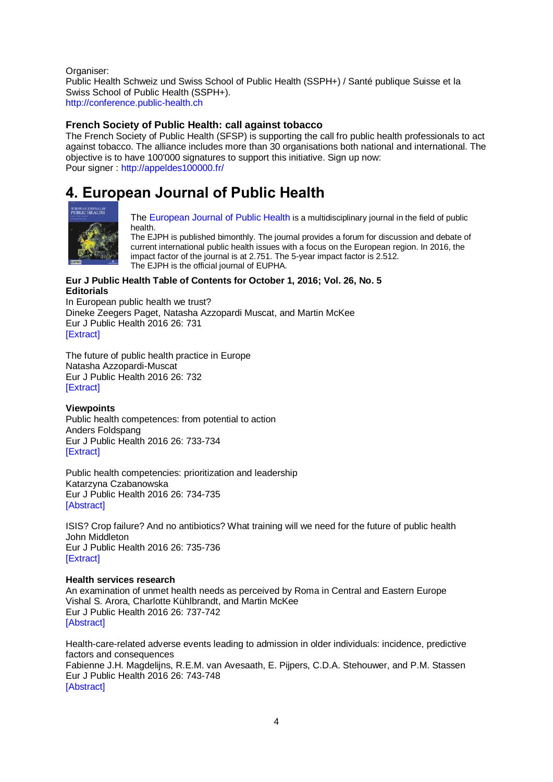Organiser: Public Health Schweiz und Swiss School of Public Health (SSPH+) / Santé publique Suisse et la Swiss School of Public Health (SSPH+). [http://conference.public-health.ch](http://conference.public-health.ch/)

## **French Society of Public Health: call against tobacco**

The French Society of Public Health (SFSP) is supporting the call fro public health professionals to act against tobacco. The alliance includes more than 30 organisations both national and international. The objective is to have 100'000 signatures to support this initiative. Sign up now: Pour signer : [http://appeldes100000.fr/](http://eye.sbc29.com/c?p=xBAFBO71RUzQpEjQhgkHMuM0Dg3EENCg0J8D7PfQrdDTQtCd8x98ZWPQ1gO5aHR0cDovL2FwcGVsZGVzMTAwMDAwLmZyL6U1ODE3NsQQTQQxQic8-EjQuNCR0NPQ3tCxUegsrWV5ZS5zYmMyOS5jb23EFPNwSdDb0JN8PgT_0Ihx0KA_0J0x0NfQgxXQlu8)

# <span id="page-3-0"></span>**4. European Journal of Public Health**



[The European Journal of Public Health](http://eurpub.oxfordjournals.org/) is a multidisciplinary journal in the field of public health.

The EJPH is published bimonthly. The journal provides a forum for discussion and debate of current international public health issues with a focus on the European region. In 2016, the impact factor of the journal is at 2.751. The 5-year impact factor is 2.512. The EJPH is the official journal of EUPHA.

## **Eur J Public Health Table of Contents for October 1, 2016; Vol. 26, No. 5 Editorials**

In European public health we trust? Dineke Zeegers Paget, Natasha Azzopardi Muscat, and Martin McKee Eur J Public Health 2016 26: 731 [\[Extract\]](http://eurpub.oxfordjournals.org/content/26/5/731.extract?etoc)

The future of public health practice in Europe Natasha Azzopardi-Muscat Eur J Public Health 2016 26: 732 [\[Extract\]](http://eurpub.oxfordjournals.org/content/26/5/732.extract?etoc)

## **Viewpoints**

Public health competences: from potential to action Anders Foldspang Eur J Public Health 2016 26: 733-734 [\[Extract\]](http://eurpub.oxfordjournals.org/content/26/5/733.extract?etoc)

Public health competencies: prioritization and leadership Katarzyna Czabanowska Eur J Public Health 2016 26: 734-735 [\[Abstract\]](http://eurpub.oxfordjournals.org/content/26/5/734.abstract?etoc)

ISIS? Crop failure? And no antibiotics? What training will we need for the future of public health John Middleton Eur J Public Health 2016 26: 735-736 [\[Extract\]](http://eurpub.oxfordjournals.org/content/26/5/735.extract?etoc)

## **Health services research**

An examination of unmet health needs as perceived by Roma in Central and Eastern Europe Vishal S. Arora, Charlotte Kühlbrandt, and Martin McKee Eur J Public Health 2016 26: 737-742 [\[Abstract\]](http://eurpub.oxfordjournals.org/content/26/5/737.abstract?etoc)

Health-care-related adverse events leading to admission in older individuals: incidence, predictive factors and consequences Fabienne J.H. Magdelijns, R.E.M. van Avesaath, E. Pijpers, C.D.A. Stehouwer, and P.M. Stassen Eur J Public Health 2016 26: 743-748 [\[Abstract\]](http://eurpub.oxfordjournals.org/content/26/5/743.abstract?etoc)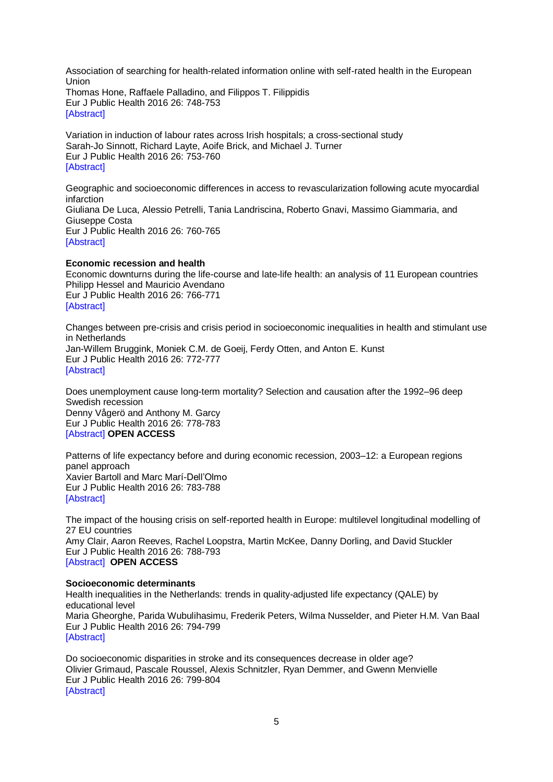Association of searching for health-related information online with self-rated health in the European Union Thomas Hone, Raffaele Palladino, and Filippos T. Filippidis Eur J Public Health 2016 26: 748-753 [\[Abstract\]](http://eurpub.oxfordjournals.org/content/26/5/748.abstract?etoc)

Variation in induction of labour rates across Irish hospitals; a cross-sectional study Sarah-Jo Sinnott, Richard Layte, Aoife Brick, and Michael J. Turner Eur J Public Health 2016 26: 753-760 [\[Abstract\]](http://eurpub.oxfordjournals.org/content/26/5/753.abstract?etoc)

Geographic and socioeconomic differences in access to revascularization following acute myocardial infarction Giuliana De Luca, Alessio Petrelli, Tania Landriscina, Roberto Gnavi, Massimo Giammaria, and Giuseppe Costa Eur J Public Health 2016 26: 760-765 [\[Abstract\]](http://eurpub.oxfordjournals.org/content/26/5/760.abstract?etoc)

### **Economic recession and health**

Economic downturns during the life-course and late-life health: an analysis of 11 European countries Philipp Hessel and Mauricio Avendano Eur J Public Health 2016 26: 766-771 [\[Abstract\]](http://eurpub.oxfordjournals.org/content/26/5/766.abstract?etoc)

Changes between pre-crisis and crisis period in socioeconomic inequalities in health and stimulant use in Netherlands Jan-Willem Bruggink, Moniek C.M. de Goeij, Ferdy Otten, and Anton E. Kunst Eur J Public Health 2016 26: 772-777 **[\[Abstract\]](http://eurpub.oxfordjournals.org/content/26/5/772.abstract?etoc)** 

Does unemployment cause long-term mortality? Selection and causation after the 1992–96 deep Swedish recession Denny Vågerö and Anthony M. Garcy Eur J Public Health 2016 26: 778-783 [\[Abstract\]](http://eurpub.oxfordjournals.org/content/26/5/778.abstract?etoc) **OPEN ACCESS**

Patterns of life expectancy before and during economic recession, 2003–12: a European regions panel approach Xavier Bartoll and Marc Marí-Dell'Olmo Eur J Public Health 2016 26: 783-788 [\[Abstract\]](http://eurpub.oxfordjournals.org/content/26/5/783.abstract?etoc)

The impact of the housing crisis on self-reported health in Europe: multilevel longitudinal modelling of 27 EU countries Amy Clair, Aaron Reeves, Rachel Loopstra, Martin McKee, Danny Dorling, and David Stuckler Eur J Public Health 2016 26: 788-793 [\[Abstract\]](http://eurpub.oxfordjournals.org/content/26/5/788.abstract?etoc) **OPEN ACCESS**

#### **Socioeconomic determinants**

Health inequalities in the Netherlands: trends in quality-adjusted life expectancy (QALE) by educational level Maria Gheorghe, Parida Wubulihasimu, Frederik Peters, Wilma Nusselder, and Pieter H.M. Van Baal Eur J Public Health 2016 26: 794-799 [\[Abstract\]](http://eurpub.oxfordjournals.org/content/26/5/794.abstract?etoc)

Do socioeconomic disparities in stroke and its consequences decrease in older age? Olivier Grimaud, Pascale Roussel, Alexis Schnitzler, Ryan Demmer, and Gwenn Menvielle Eur J Public Health 2016 26: 799-804 [\[Abstract\]](http://eurpub.oxfordjournals.org/content/26/5/799.abstract?etoc)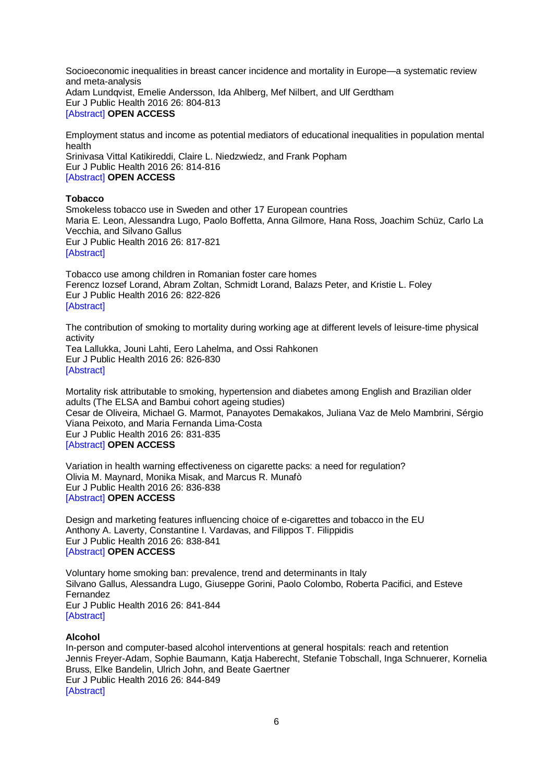Socioeconomic inequalities in breast cancer incidence and mortality in Europe—a systematic review and meta-analysis Adam Lundqvist, Emelie Andersson, Ida Ahlberg, Mef Nilbert, and Ulf Gerdtham Eur J Public Health 2016 26: 804-813 [\[Abstract\]](http://eurpub.oxfordjournals.org/content/26/5/804.abstract?etoc) **OPEN ACCESS**

Employment status and income as potential mediators of educational inequalities in population mental health Srinivasa Vittal Katikireddi, Claire L. Niedzwiedz, and Frank Popham Eur J Public Health 2016 26: 814-816

## [\[Abstract\]](http://eurpub.oxfordjournals.org/content/26/5/814.abstract?etoc) **OPEN ACCESS**

#### **Tobacco**

Smokeless tobacco use in Sweden and other 17 European countries Maria E. Leon, Alessandra Lugo, Paolo Boffetta, Anna Gilmore, Hana Ross, Joachim Schüz, Carlo La Vecchia, and Silvano Gallus Eur J Public Health 2016 26: 817-821 [\[Abstract\]](http://eurpub.oxfordjournals.org/content/26/5/817.abstract?etoc)

Tobacco use among children in Romanian foster care homes Ferencz Iozsef Lorand, Abram Zoltan, Schmidt Lorand, Balazs Peter, and Kristie L. Foley Eur J Public Health 2016 26: 822-826 [\[Abstract\]](http://eurpub.oxfordjournals.org/content/26/5/822.abstract?etoc)

The contribution of smoking to mortality during working age at different levels of leisure-time physical activity

Tea Lallukka, Jouni Lahti, Eero Lahelma, and Ossi Rahkonen Eur J Public Health 2016 26: 826-830 [\[Abstract\]](http://eurpub.oxfordjournals.org/content/26/5/826.abstract?etoc)

Mortality risk attributable to smoking, hypertension and diabetes among English and Brazilian older adults (The ELSA and Bambui cohort ageing studies) Cesar de Oliveira, Michael G. Marmot, Panayotes Demakakos, Juliana Vaz de Melo Mambrini, Sérgio Viana Peixoto, and Maria Fernanda Lima-Costa Eur J Public Health 2016 26: 831-835 [\[Abstract\]](http://eurpub.oxfordjournals.org/content/26/5/831.abstract?etoc) **OPEN ACCESS**

Variation in health warning effectiveness on cigarette packs: a need for regulation? Olivia M. Maynard, Monika Misak, and Marcus R. Munafò Eur J Public Health 2016 26: 836-838 [\[Abstract\]](http://eurpub.oxfordjournals.org/content/26/5/836.abstract?etoc) **OPEN ACCESS**

Design and marketing features influencing choice of e-cigarettes and tobacco in the EU Anthony A. Laverty, Constantine I. Vardavas, and Filippos T. Filippidis Eur J Public Health 2016 26: 838-841 [\[Abstract\]](http://eurpub.oxfordjournals.org/content/26/5/838.abstract?etoc) **OPEN ACCESS**

Voluntary home smoking ban: prevalence, trend and determinants in Italy Silvano Gallus, Alessandra Lugo, Giuseppe Gorini, Paolo Colombo, Roberta Pacifici, and Esteve Fernandez Eur J Public Health 2016 26: 841-844 [\[Abstract\]](http://eurpub.oxfordjournals.org/content/26/5/841.abstract?etoc)

#### **Alcohol**

In-person and computer-based alcohol interventions at general hospitals: reach and retention Jennis Freyer-Adam, Sophie Baumann, Katja Haberecht, Stefanie Tobschall, Inga Schnuerer, Kornelia Bruss, Elke Bandelin, Ulrich John, and Beate Gaertner Eur J Public Health 2016 26: 844-849 [\[Abstract\]](http://eurpub.oxfordjournals.org/content/26/5/844.abstract?etoc)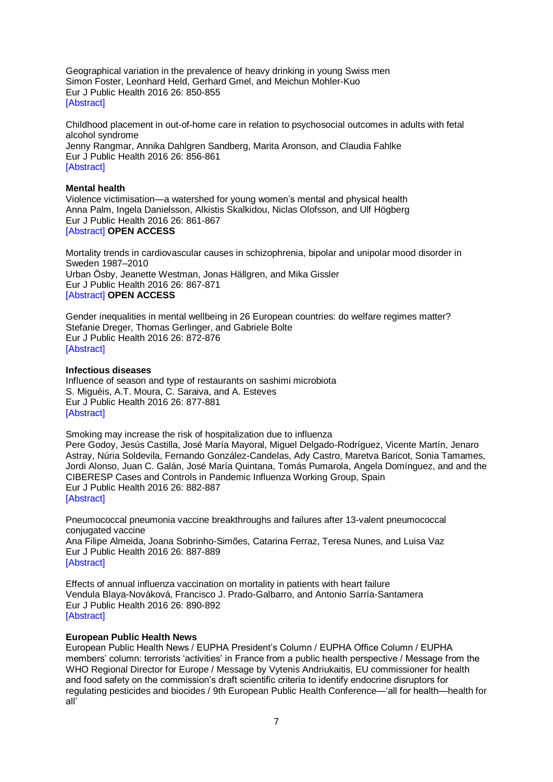Geographical variation in the prevalence of heavy drinking in young Swiss men Simon Foster, Leonhard Held, Gerhard Gmel, and Meichun Mohler-Kuo Eur J Public Health 2016 26: 850-855 [\[Abstract\]](http://eurpub.oxfordjournals.org/content/26/5/850.abstract?etoc)

Childhood placement in out-of-home care in relation to psychosocial outcomes in adults with fetal alcohol syndrome Jenny Rangmar, Annika Dahlgren Sandberg, Marita Aronson, and Claudia Fahlke Eur J Public Health 2016 26: 856-861 [\[Abstract\]](http://eurpub.oxfordjournals.org/content/26/5/856.abstract?etoc)

#### **Mental health**

Violence victimisation—a watershed for young women's mental and physical health Anna Palm, Ingela Danielsson, Alkistis Skalkidou, Niclas Olofsson, and Ulf Högberg Eur J Public Health 2016 26: 861-867 [\[Abstract\]](http://eurpub.oxfordjournals.org/content/26/5/861.abstract?etoc) **OPEN ACCESS**

Mortality trends in cardiovascular causes in schizophrenia, bipolar and unipolar mood disorder in Sweden 1987–2010 Urban Ösby, Jeanette Westman, Jonas Hällgren, and Mika Gissler Eur J Public Health 2016 26: 867-871 [\[Abstract\]](http://eurpub.oxfordjournals.org/content/26/5/867.abstract?etoc) **OPEN ACCESS**

Gender inequalities in mental wellbeing in 26 European countries: do welfare regimes matter? Stefanie Dreger, Thomas Gerlinger, and Gabriele Bolte Eur J Public Health 2016 26: 872-876 [\[Abstract\]](http://eurpub.oxfordjournals.org/content/26/5/872.abstract?etoc)

#### **Infectious diseases**

Influence of season and type of restaurants on sashimi microbiota S. Miguéis, A.T. Moura, C. Saraiva, and A. Esteves Eur J Public Health 2016 26: 877-881 [\[Abstract\]](http://eurpub.oxfordjournals.org/content/26/5/877.abstract?etoc)

Smoking may increase the risk of hospitalization due to influenza Pere Godoy, Jesús Castilla, José María Mayoral, Miguel Delgado-Rodríguez, Vicente Martín, Jenaro Astray, Núria Soldevila, Fernando González-Candelas, Ady Castro, Maretva Baricot, Sonia Tamames, Jordi Alonso, Juan C. Galán, José María Quintana, Tomás Pumarola, Angela Domínguez, and and the CIBERESP Cases and Controls in Pandemic Influenza Working Group, Spain Eur J Public Health 2016 26: 882-887 [\[Abstract\]](http://eurpub.oxfordjournals.org/content/26/5/882.abstract?etoc)

Pneumococcal pneumonia vaccine breakthroughs and failures after 13-valent pneumococcal conjugated vaccine Ana Filipe Almeida, Joana Sobrinho-Simões, Catarina Ferraz, Teresa Nunes, and Luisa Vaz Eur J Public Health 2016 26: 887-889 [\[Abstract\]](http://eurpub.oxfordjournals.org/content/26/5/887.abstract?etoc)

Effects of annual influenza vaccination on mortality in patients with heart failure Vendula Blaya-Nováková, Francisco J. Prado-Galbarro, and Antonio Sarría-Santamera Eur J Public Health 2016 26: 890-892 [\[Abstract\]](http://eurpub.oxfordjournals.org/content/26/5/890.abstract?etoc)

### **European Public Health News**

European Public Health News / EUPHA President's Column / EUPHA Office Column / EUPHA members' column: terrorists 'activities' in France from a public health perspective / Message from the WHO Regional Director for Europe / Message by Vytenis Andriukaitis, EU commissioner for health and food safety on the commission's draft scientific criteria to identify endocrine disruptors for regulating pesticides and biocides / 9th European Public Health Conference—'all for health—health for all'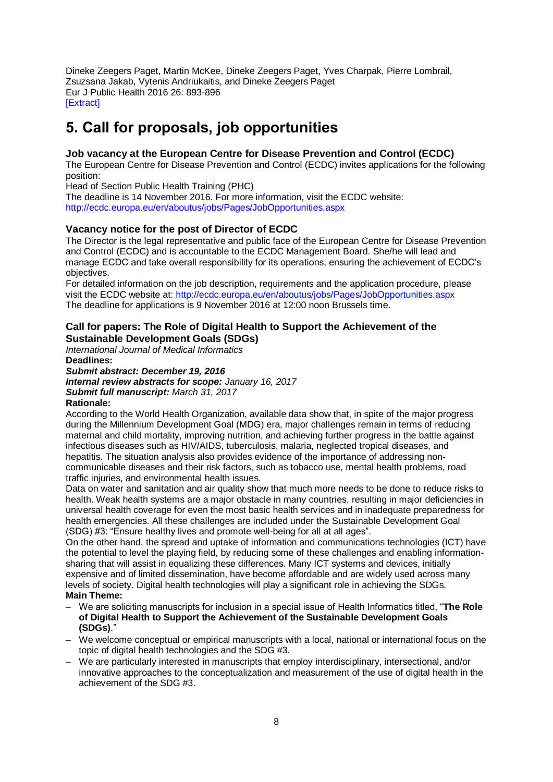Dineke Zeegers Paget, Martin McKee, Dineke Zeegers Paget, Yves Charpak, Pierre Lombrail, Zsuzsana Jakab, Vytenis Andriukaitis, and Dineke Zeegers Paget Eur J Public Health 2016 26: 893-896 [\[Extract\]](http://eurpub.oxfordjournals.org/content/26/5/893.extract?etoc)

# <span id="page-7-0"></span>**5. Call for proposals, job opportunities**

# **Job vacancy at the European Centre for Disease Prevention and Control (ECDC)**

The European Centre for Disease Prevention and Control (ECDC) invites applications for the following position:

Head of Section Public Health Training (PHC)

The deadline is 14 November 2016. For more information, visit the ECDC website: <http://ecdc.europa.eu/en/aboutus/jobs/Pages/JobOpportunities.aspx>

# **Vacancy notice for the post of Director of ECDC**

The Director is the legal representative and public face of the European Centre for Disease Prevention and Control (ECDC) and is accountable to the ECDC Management Board. She/he will lead and manage ECDC and take overall responsibility for its operations, ensuring the achievement of ECDC's objectives.

For detailed information on the job description, requirements and the application procedure, please visit the ECDC website at:<http://ecdc.europa.eu/en/aboutus/jobs/Pages/JobOpportunities.aspx> The deadline for applications is 9 November 2016 at 12:00 noon Brussels time.

## **Call for papers: The Role of Digital Health to Support the Achievement of the Sustainable Development Goals (SDGs)**

*International Journal of Medical Informatics*  **Deadlines:**

*Submit abstract: December 19, 2016 Internal review abstracts for scope: January 16, 2017 Submit full manuscript: March 31, 2017* **Rationale:**

According to the World Health Organization, available data show that, in spite of the major progress during the Millennium Development Goal (MDG) era, major challenges remain in terms of reducing maternal and child mortality, improving nutrition, and achieving further progress in the battle against infectious diseases such as HIV/AIDS, tuberculosis, malaria, neglected tropical diseases, and hepatitis. The situation analysis also provides evidence of the importance of addressing noncommunicable diseases and their risk factors, such as tobacco use, mental health problems, road traffic injuries, and environmental health issues.

Data on water and sanitation and air quality show that much more needs to be done to reduce risks to health. Weak health systems are a major obstacle in many countries, resulting in major deficiencies in universal health coverage for even the most basic health services and in inadequate preparedness for health emergencies. All these challenges are included under the Sustainable Development Goal (SDG) #3: "Ensure healthy lives and promote well-being for all at all ages".

On the other hand, the spread and uptake of information and communications technologies (ICT) have the potential to level the playing field, by reducing some of these challenges and enabling informationsharing that will assist in equalizing these differences. Many ICT systems and devices, initially expensive and of limited dissemination, have become affordable and are widely used across many levels of society. Digital health technologies will play a significant role in achieving the SDGs. **Main Theme:**

- We are soliciting manuscripts for inclusion in a special issue of Health Informatics titled, "**The Role of Digital Health to Support the Achievement of the Sustainable Development Goals (SDGs)**."
- We welcome conceptual or empirical manuscripts with a local, national or international focus on the topic of digital health technologies and the SDG #3.
- We are particularly interested in manuscripts that employ interdisciplinary, intersectional, and/or innovative approaches to the conceptualization and measurement of the use of digital health in the achievement of the SDG #3.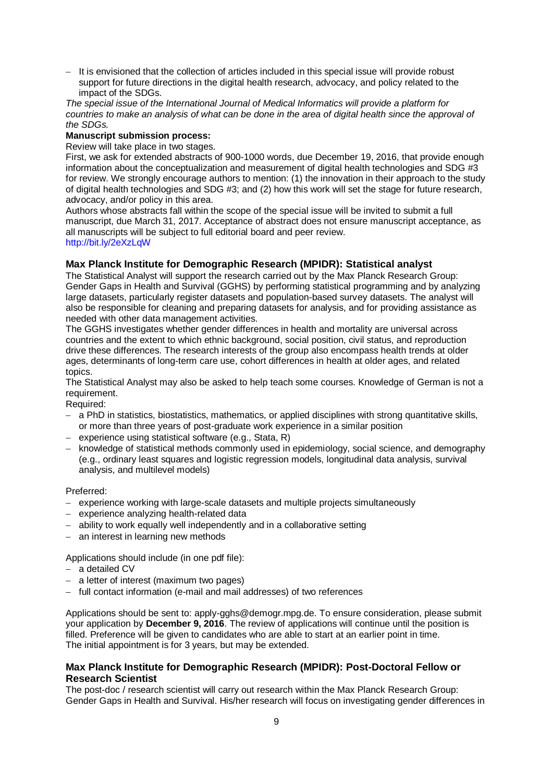It is envisioned that the collection of articles included in this special issue will provide robust support for future directions in the digital health research, advocacy, and policy related to the impact of the SDGs.

*The special issue of the International Journal of Medical Informatics will provide a platform for countries to make an analysis of what can be done in the area of digital health since the approval of the SDGs.*

### **Manuscript submission process:**

Review will take place in two stages.

First, we ask for extended abstracts of 900-1000 words, due December 19, 2016, that provide enough information about the conceptualization and measurement of digital health technologies and SDG #3 for review. We strongly encourage authors to mention: (1) the innovation in their approach to the study of digital health technologies and SDG #3; and (2) how this work will set the stage for future research, advocacy, and/or policy in this area.

Authors whose abstracts fall within the scope of the special issue will be invited to submit a full manuscript, due March 31, 2017. Acceptance of abstract does not ensure manuscript acceptance, as all manuscripts will be subject to full editorial board and peer review. <http://bit.ly/2eXzLqW>

## **Max Planck Institute for Demographic Research (MPIDR): Statistical analyst**

The Statistical Analyst will support the research carried out by the Max Planck Research Group: Gender Gaps in Health and Survival (GGHS) by performing statistical programming and by analyzing large datasets, particularly register datasets and population-based survey datasets. The analyst will also be responsible for cleaning and preparing datasets for analysis, and for providing assistance as needed with other data management activities.

The GGHS investigates whether gender differences in health and mortality are universal across countries and the extent to which ethnic background, social position, civil status, and reproduction drive these differences. The research interests of the group also encompass health trends at older ages, determinants of long-term care use, cohort differences in health at older ages, and related topics.

The Statistical Analyst may also be asked to help teach some courses. Knowledge of German is not a requirement.

Required:

- a PhD in statistics, biostatistics, mathematics, or applied disciplines with strong quantitative skills, or more than three years of post-graduate work experience in a similar position
- experience using statistical software (e.g., Stata, R)
- knowledge of statistical methods commonly used in epidemiology, social science, and demography (e.g., ordinary least squares and logistic regression models, longitudinal data analysis, survival analysis, and multilevel models)

Preferred:

- experience working with large-scale datasets and multiple projects simultaneously
- $-$  experience analyzing health-related data
- ability to work equally well independently and in a collaborative setting
- an interest in learning new methods

Applications should include (in one pdf file):

- $-$  a detailed CV
- a letter of interest (maximum two pages)
- full contact information (e-mail and mail addresses) of two references

Applications should be sent to: apply-gghs@demogr.mpg.de. To ensure consideration, please submit your application by **December 9, 2016**. The review of applications will continue until the position is filled. Preference will be given to candidates who are able to start at an earlier point in time. The initial appointment is for 3 years, but may be extended.

## **Max Planck Institute for Demographic Research (MPIDR): Post-Doctoral Fellow or Research Scientist**

The post-doc / research scientist will carry out research within the Max Planck Research Group: Gender Gaps in Health and Survival. His/her research will focus on investigating gender differences in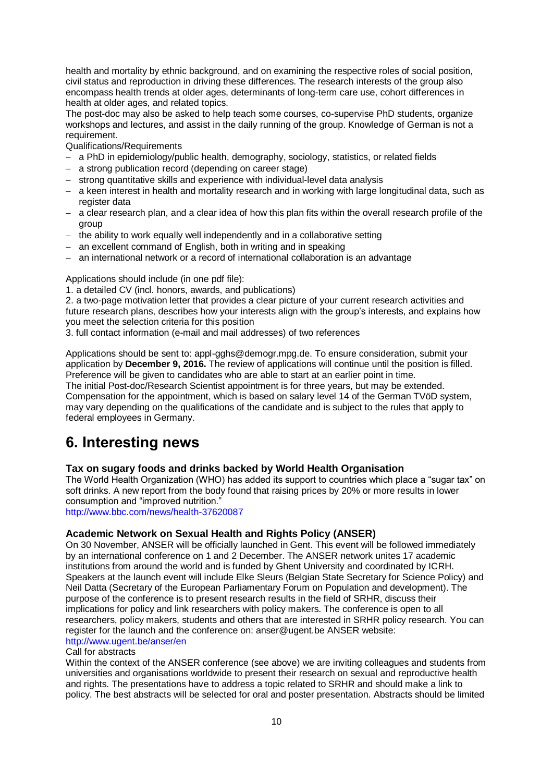health and mortality by ethnic background, and on examining the respective roles of social position, civil status and reproduction in driving these differences. The research interests of the group also encompass health trends at older ages, determinants of long-term care use, cohort differences in health at older ages, and related topics.

The post-doc may also be asked to help teach some courses, co-supervise PhD students, organize workshops and lectures, and assist in the daily running of the group. Knowledge of German is not a requirement.

Qualifications/Requirements

- a PhD in epidemiology/public health, demography, sociology, statistics, or related fields
- a strong publication record (depending on career stage)
- strong quantitative skills and experience with individual-level data analysis
- a keen interest in health and mortality research and in working with large longitudinal data, such as register data
- $-$  a clear research plan, and a clear idea of how this plan fits within the overall research profile of the group
- $-$  the ability to work equally well independently and in a collaborative setting
- an excellent command of English, both in writing and in speaking
- an international network or a record of international collaboration is an advantage

Applications should include (in one pdf file):

1. a detailed CV (incl. honors, awards, and publications)

2. a two-page motivation letter that provides a clear picture of your current research activities and future research plans, describes how your interests align with the group's interests, and explains how you meet the selection criteria for this position

3. full contact information (e-mail and mail addresses) of two references

Applications should be sent to: appl-gghs@demogr.mpg.de. To ensure consideration, submit your application by **December 9, 2016.** The review of applications will continue until the position is filled. Preference will be given to candidates who are able to start at an earlier point in time. The initial Post-doc/Research Scientist appointment is for three years, but may be extended. Compensation for the appointment, which is based on salary level 14 of the German TVöD system, may vary depending on the qualifications of the candidate and is subject to the rules that apply to federal employees in Germany.

# <span id="page-9-0"></span>**6. Interesting news**

## **Tax on sugary foods and drinks backed by World Health Organisation**

The World Health Organization (WHO) has added its support to countries which place a "sugar tax" on soft drinks. A new report from the body found that raising prices by 20% or more results in lower consumption and "improved nutrition."

<http://www.bbc.com/news/health-37620087>

## **Academic Network on Sexual Health and Rights Policy (ANSER)**

On 30 November, ANSER will be officially launched in Gent. This event will be followed immediately by an international conference on 1 and 2 December. The ANSER network unites 17 academic institutions from around the world and is funded by Ghent University and coordinated by ICRH. Speakers at the launch event will include Elke Sleurs (Belgian State Secretary for Science Policy) and Neil Datta (Secretary of the European Parliamentary Forum on Population and development). The purpose of the conference is to present research results in the field of SRHR, discuss their implications for policy and link researchers with policy makers. The conference is open to all researchers, policy makers, students and others that are interested in SRHR policy research. You can register for the launch and the conference on: anser@ugent.be ANSER website: <http://www.ugent.be/anser/en>

#### Call for abstracts

Within the context of the ANSER conference (see above) we are inviting colleagues and students from universities and organisations worldwide to present their research on sexual and reproductive health and rights. The presentations have to address a topic related to SRHR and should make a link to policy. The best abstracts will be selected for oral and poster presentation. Abstracts should be limited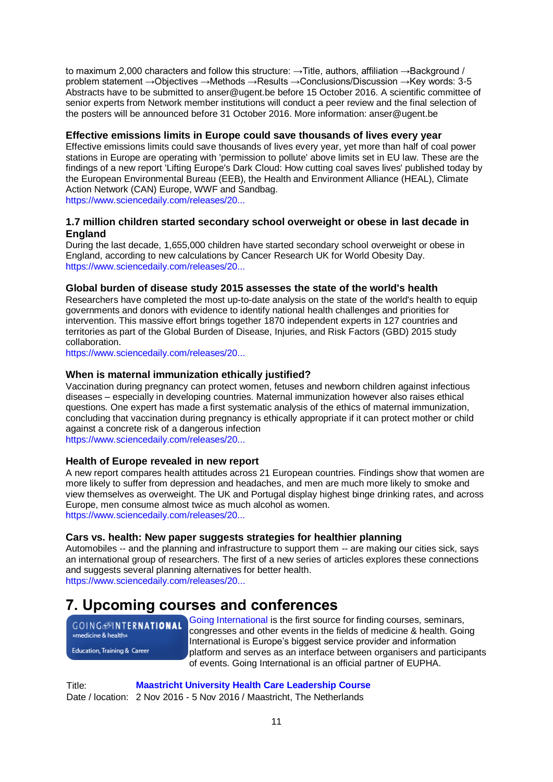to maximum 2,000 characters and follow this structure:  $\rightarrow$  Title, authors, affiliation  $\rightarrow$  Background / problem statement →Objectives →Methods →Results →Conclusions/Discussion →Key words: 3-5 Abstracts have to be submitted to anser@ugent.be before 15 October 2016. A scientific committee of senior experts from Network member institutions will conduct a peer review and the final selection of the posters will be announced before 31 October 2016. More information: anser@ugent.be

### **Effective emissions limits in Europe could save thousands of lives every year**

Effective emissions limits could save thousands of lives every year, yet more than half of coal power stations in Europe are operating with 'permission to pollute' above limits set in EU law. These are the findings of a new report 'Lifting Europe's Dark Cloud: How cutting coal saves lives' published today by the European Environmental Bureau (EEB), the Health and Environment Alliance (HEAL), Climate Action Network (CAN) Europe, WWF and Sandbag.

[https://www.sciencedaily.com/releases/20...](http://www.sciencedaily.com/releases/2016/10/161010221050.htm?utm_source=feedburner&utm_medium=email&utm_campaign=Feed%3A+sciencedaily%2Fscience_society%2Fpublic_health+%28Public+Health+News+--+Scien)

## **1.7 million children started secondary school overweight or obese in last decade in England**

During the last decade, 1,655,000 children have started secondary school overweight or obese in England, according to new calculations by Cancer Research UK for World Obesity Day. [https://www.sciencedaily.com/releases/20...](https://www.sciencedaily.com/releases/2016/10/161010220922.htm?utm_source=feedburner&utm_medium=email&utm_campaign=Feed%3A+sciencedaily%2Fscience_society%2Fpublic_health+%28Public+Health+News+--+Scien)

### **Global burden of disease study 2015 assesses the state of the world's health**

Researchers have completed the most up-to-date analysis on the state of the world's health to equip governments and donors with evidence to identify national health challenges and priorities for intervention. This massive effort brings together 1870 independent experts in 127 countries and territories as part of the Global Burden of Disease, Injuries, and Risk Factors (GBD) 2015 study collaboration.

[https://www.sciencedaily.com/releases/20...](https://www.sciencedaily.com/releases/2016/10/161006102549.htm?utm_source=feedburner&utm_medium=email&utm_campaign=Feed%3A+sciencedaily%2Fscience_society%2Fpublic_health+%28Public+Health+News+--+Scien)

### **When is maternal immunization ethically justified?**

Vaccination during pregnancy can protect women, fetuses and newborn children against infectious diseases – especially in developing countries. Maternal immunization however also raises ethical questions. One expert has made a first systematic analysis of the ethics of maternal immunization, concluding that vaccination during pregnancy is ethically appropriate if it can protect mother or child against a concrete risk of a dangerous infection

[https://www.sciencedaily.com/releases/20...](https://www.sciencedaily.com/releases/2016/10/161005124250.htm?utm_source=feedburner&utm_medium=email&utm_campaign=Feed%3A+sciencedaily%2Fscience_society%2Fpublic_health+%28Public+Health+News+--+Scien)

### **Health of Europe revealed in new report**

A new report compares health attitudes across 21 European countries. Findings show that women are more likely to suffer from depression and headaches, and men are much more likely to smoke and view themselves as overweight. The UK and Portugal display highest binge drinking rates, and across Europe, men consume almost twice as much alcohol as women. [https://www.sciencedaily.com/releases/20...](https://www.sciencedaily.com/releases/2016/10/161023190554.htm?utm_source=feedburner&utm_medium=email&utm_campaign=Feed%3A+sciencedaily%2Fscience_society%2Fpublic_health+%28Public+Health+News+--+Scien)

#### **Cars vs. health: New paper suggests strategies for healthier planning**

Automobiles -- and the planning and infrastructure to support them -- are making our cities sick, says an international group of researchers. The first of a new series of articles explores these connections and suggests several planning alternatives for better health. [https://www.sciencedaily.com/releases/20...](https://www.sciencedaily.com/releases/2016/10/161014153101.htm?utm_source=feedburner&utm_medium=email&utm_campaign=Feed%3A+sciencedaily%2Fscience_society%2Fpublic_health+%28Public+Health+News+--+Scien)

# <span id="page-10-0"></span>**7. Upcoming courses and conferences**

**GOING**@INTERNATIONAL »medicine & health«

**Education, Training & Career** 

[Going International](http://www.goinginternational.eu/) is the first source for finding courses, seminars, congresses and other events in the fields of medicine & health. Going International is Europe's biggest service provider and information platform and serves as an interface between organisers and participants of events. Going International is an official partner of EUPHA.

Title: **[Maastricht University Health Care Leadership Course](https://www.maastrichtuniversity.nl/education/maastricht-university-executive-healthcare-leadership-programme)** Date / location: 2 Nov 2016 - 5 Nov 2016 / Maastricht, The Netherlands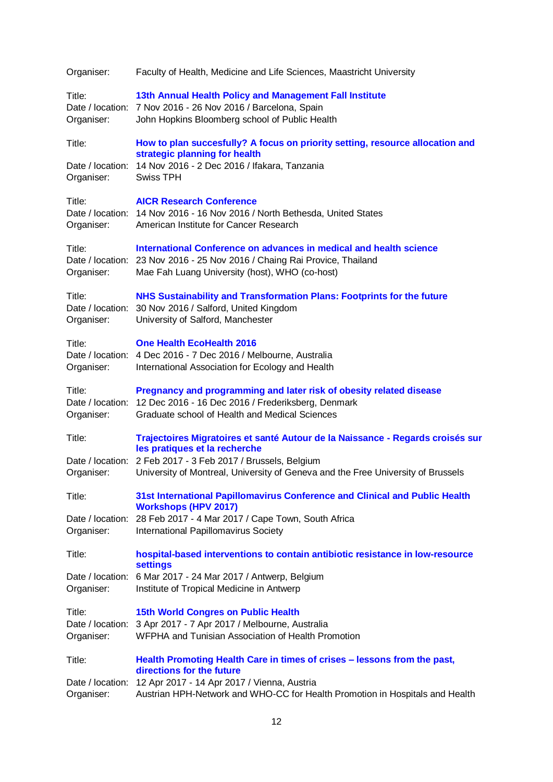| Organiser:                               | Faculty of Health, Medicine and Life Sciences, Maastricht University                                                                                                                              |
|------------------------------------------|---------------------------------------------------------------------------------------------------------------------------------------------------------------------------------------------------|
| Title:<br>Date / location:<br>Organiser: | 13th Annual Health Policy and Management Fall Institute<br>7 Nov 2016 - 26 Nov 2016 / Barcelona, Spain<br>John Hopkins Bloomberg school of Public Health                                          |
| Title:                                   | How to plan succesfully? A focus on priority setting, resource allocation and<br>strategic planning for health                                                                                    |
| Organiser:                               | Date / location: 14 Nov 2016 - 2 Dec 2016 / Ifakara, Tanzania<br><b>Swiss TPH</b>                                                                                                                 |
| Title:<br>Organiser:                     | <b>AICR Research Conference</b><br>Date / location: 14 Nov 2016 - 16 Nov 2016 / North Bethesda, United States<br>American Institute for Cancer Research                                           |
| Title:<br>Organiser:                     | International Conference on advances in medical and health science<br>Date / location: 23 Nov 2016 - 25 Nov 2016 / Chaing Rai Provice, Thailand<br>Mae Fah Luang University (host), WHO (co-host) |
| Title:<br>Date / location:<br>Organiser: | NHS Sustainability and Transformation Plans: Footprints for the future<br>30 Nov 2016 / Salford, United Kingdom<br>University of Salford, Manchester                                              |
| Title:<br>Organiser:                     | <b>One Health EcoHealth 2016</b><br>Date / location: 4 Dec 2016 - 7 Dec 2016 / Melbourne, Australia<br>International Association for Ecology and Health                                           |
| Title:<br>Date / location:<br>Organiser: | Pregnancy and programming and later risk of obesity related disease<br>12 Dec 2016 - 16 Dec 2016 / Frederiksberg, Denmark<br>Graduate school of Health and Medical Sciences                       |
| Title:                                   | Trajectoires Migratoires et santé Autour de la Naissance - Regards croisés sur<br>les pratiques et la recherche                                                                                   |
| Organiser:                               | Date / location: 2 Feb 2017 - 3 Feb 2017 / Brussels, Belgium<br>University of Montreal, University of Geneva and the Free University of Brussels                                                  |
| Title:                                   | 31st International Papillomavirus Conference and Clinical and Public Health<br><b>Workshops (HPV 2017)</b>                                                                                        |
| Date / location:<br>Organiser:           | 28 Feb 2017 - 4 Mar 2017 / Cape Town, South Africa<br>International Papillomavirus Society                                                                                                        |
| Title:                                   | hospital-based interventions to contain antibiotic resistance in low-resource<br><b>settings</b>                                                                                                  |
| Date / location:<br>Organiser:           | 6 Mar 2017 - 24 Mar 2017 / Antwerp, Belgium<br>Institute of Tropical Medicine in Antwerp                                                                                                          |
| Title:<br>Organiser:                     | <b>15th World Congres on Public Health</b><br>Date / location: 3 Apr 2017 - 7 Apr 2017 / Melbourne, Australia<br>WFPHA and Tunisian Association of Health Promotion                               |
| Title:                                   | Health Promoting Health Care in times of crises - lessons from the past,<br>directions for the future                                                                                             |
| Date / location:<br>Organiser:           | 12 Apr 2017 - 14 Apr 2017 / Vienna, Austria<br>Austrian HPH-Network and WHO-CC for Health Promotion in Hospitals and Health                                                                       |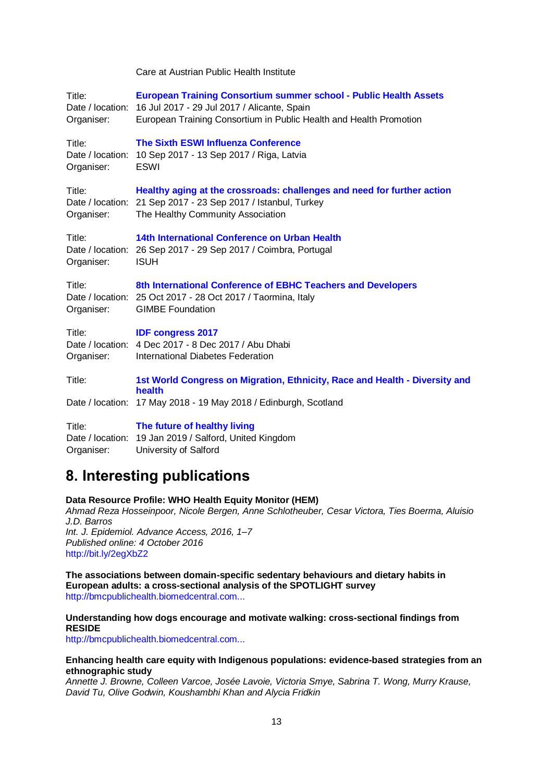| Title:<br>Organiser:                     | <b>European Training Consortium summer school - Public Health Assets</b><br>Date / location: 16 Jul 2017 - 29 Jul 2017 / Alicante, Spain<br>European Training Consortium in Public Health and Health Promotion |
|------------------------------------------|----------------------------------------------------------------------------------------------------------------------------------------------------------------------------------------------------------------|
| Title:<br>Date / location:<br>Organiser: | The Sixth ESWI Influenza Conference<br>10 Sep 2017 - 13 Sep 2017 / Riga, Latvia<br><b>ESWI</b>                                                                                                                 |
| Title:<br>Date / location:<br>Organiser: | Healthy aging at the crossroads: challenges and need for further action<br>21 Sep 2017 - 23 Sep 2017 / Istanbul, Turkey<br>The Healthy Community Association                                                   |
| Title:<br>Date / location:<br>Organiser: | 14th International Conference on Urban Health<br>26 Sep 2017 - 29 Sep 2017 / Coimbra, Portugal<br><b>ISUH</b>                                                                                                  |
| Title:<br>Organiser:                     | 8th International Conference of EBHC Teachers and Developers<br>Date / location: 25 Oct 2017 - 28 Oct 2017 / Taormina, Italy<br><b>GIMBE Foundation</b>                                                        |
| Title:<br>Organiser:                     | <b>IDF congress 2017</b><br>Date / location: 4 Dec 2017 - 8 Dec 2017 / Abu Dhabi<br>International Diabetes Federation                                                                                          |
| Title:                                   | 1st World Congress on Migration, Ethnicity, Race and Health - Diversity and<br>health                                                                                                                          |
| Date / location:                         | 17 May 2018 - 19 May 2018 / Edinburgh, Scotland                                                                                                                                                                |
| Title:<br>Date / location:               | The future of healthy living<br>19 Jan 2019 / Salford, United Kingdom                                                                                                                                          |

Care at Austrian Public Health Institute

# <span id="page-12-0"></span>**8. Interesting publications**

Organiser: University of Salford

#### **Data Resource Profile: WHO Health Equity Monitor (HEM)**

*Ahmad Reza Hosseinpoor, Nicole Bergen, Anne Schlotheuber, Cesar Victora, Ties Boerma, Aluisio J.D. Barros Int. J. Epidemiol. Advance Access, 2016, 1–7 Published online: 4 October 2016* <http://bit.ly/2egXbZ2>

**The associations between domain-specific sedentary behaviours and dietary habits in European adults: a cross-sectional analysis of the SPOTLIGHT survey** [http://bmcpublichealth.biomedcentral.com...](http://bmcpublichealth.biomedcentral.com/articles/10.1186/s12889-016-3708-3#Abs1)

### **Understanding how dogs encourage and motivate walking: cross-sectional findings from RESIDE**

[http://bmcpublichealth.biomedcentral.com...](http://bmcpublichealth.biomedcentral.com/articles/10.1186/s12889-016-3660-2#Abs1)

#### **Enhancing health care equity with Indigenous populations: evidence-based strategies from an ethnographic study**

*Annette J. Browne, Colleen Varcoe, Josée Lavoie, Victoria Smye, Sabrina T. Wong, Murry Krause, David Tu, Olive Godwin, Koushambhi Khan and Alycia Fridkin*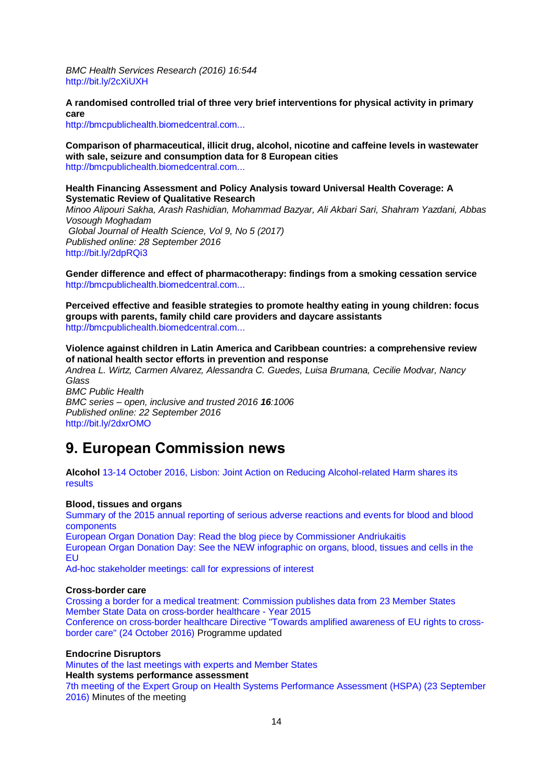*BMC Health Services Research (2016) 16:544* <http://bit.ly/2cXiUXH>

**A randomised controlled trial of three very brief interventions for physical activity in primary care**

[http://bmcpublichealth.biomedcentral.com...](http://bmcpublichealth.biomedcentral.com/articles/10.1186/s12889-016-3684-7#Abs1)

**Comparison of pharmaceutical, illicit drug, alcohol, nicotine and caffeine levels in wastewater with sale, seizure and consumption data for 8 European cities** [http://bmcpublichealth.biomedcentral.com...](http://bmcpublichealth.biomedcentral.com/articles/10.1186/s12889-016-3686-5#Abs1)

**Health Financing Assessment and Policy Analysis toward Universal Health Coverage: A Systematic Review of Qualitative Research** 

*Minoo Alipouri Sakha, Arash Rashidian, Mohammad Bazyar, Ali Akbari Sari, Shahram Yazdani, Abbas Vosough Moghadam Global Journal of Health Science, Vol 9, No 5 (2017) Published online: 28 September 2016* <http://bit.ly/2dpRQi3>

**Gender difference and effect of pharmacotherapy: findings from a smoking cessation service** [http://bmcpublichealth.biomedcentral.com...](http://bmcpublichealth.biomedcentral.com/articles/10.1186/s12889-016-3672-y#Abs1)

**Perceived effective and feasible strategies to promote healthy eating in young children: focus groups with parents, family child care providers and daycare assistants** [http://bmcpublichealth.biomedcentral.com...](http://bmcpublichealth.biomedcentral.com/articles/10.1186/s12889-016-3710-9#Abs1)

**Violence against children in Latin America and Caribbean countries: a comprehensive review of national health sector efforts in prevention and response**

*Andrea L. Wirtz, Carmen Alvarez, Alessandra C. Guedes, Luisa Brumana, Cecilie Modvar, Nancy Glass*

*BMC Public Health BMC series – open, inclusive and trusted 2016 16:1006 Published online: 22 September 2016* <http://bit.ly/2dxrOMO>

# <span id="page-13-0"></span>**9. European Commission news**

**Alcohol** [13-14 October 2016, Lisbon: Joint Action on Reducing Alcohol-related Harm shares its](http://ec.europa.eu/dgs/health_food-safety/dyna/enews/enews.cfm?al_id=1725)  [results](http://ec.europa.eu/dgs/health_food-safety/dyna/enews/enews.cfm?al_id=1725)

#### **Blood, tissues and organs**

[Summary of the 2015 annual reporting of serious adverse reactions and events for blood and blood](http://ec.europa.eu/health/blood_tissues_organs/docs/2015_sare_blood_summary_en.pdf)  [components](http://ec.europa.eu/health/blood_tissues_organs/docs/2015_sare_blood_summary_en.pdf)

[European Organ Donation Day: Read the blog piece by Commissioner Andriukaitis](https://ec.europa.eu/commission/2014-2019/andriukaitis/blog/european-organ-donation-day-2016-organ-donation-gift-hope_en) [European Organ Donation Day: See the NEW infographic on organs, blood, tissues and cells in the](http://ec.europa.eu/health/blood_tissues_organs/publications/index_en.htm)  [EU](http://ec.europa.eu/health/blood_tissues_organs/publications/index_en.htm)

[Ad-hoc stakeholder meetings: call for expressions of interest](http://ec.europa.eu/health/blood_tissues_organs/consultations/call_adhocstakeholdermeeting_en.htm)

#### **Cross-border care**

[Crossing a border for a medical treatment: Commission publishes data from 23 Member States](http://europa.eu/rapid/midday-express-24-10-2016.htm#15) [Member State Data on cross-border healthcare -](http://ec.europa.eu/health/cross_border_care/docs/2015_msdata_en.pdf) Year 2015 [Conference on cross-border healthcare Directive "Towards amplified awareness of EU rights to cross](http://ec.europa.eu/health/cross_border_care/events/ev_20161024_en.htm#c)[border care" \(24 October 2016\)](http://ec.europa.eu/health/cross_border_care/events/ev_20161024_en.htm#c) Programme updated

#### **Endocrine Disruptors**

[Minutes of the last meetings with experts and Member States](http://ec.europa.eu/health/endocrine_disruptors/next_steps/index_en.htm) **Health systems performance assessment**  [7th meeting of the Expert Group on Health Systems Performance Assessment \(HSPA\) \(23 September](http://ec.europa.eu/health/systems_performance_assessment/docs/ev_20160923_mi_en.pdf)  [2016\)](http://ec.europa.eu/health/systems_performance_assessment/docs/ev_20160923_mi_en.pdf) Minutes of the meeting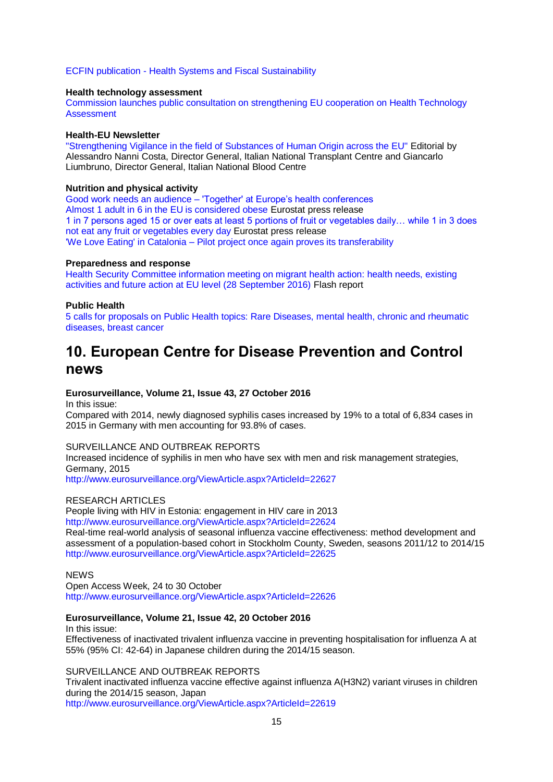ECFIN publication - [Health Systems and Fiscal Sustainability](http://ec.europa.eu/economy_finance/publications/eeip/ip037_en.htm)

#### **Health technology assessment**

[Commission launches public consultation on strengthening EU cooperation on Health Technology](http://ec.europa.eu/dgs/health_food-safety/dyna/enews/enews.cfm?al_id=1726)  **[Assessment](http://ec.europa.eu/dgs/health_food-safety/dyna/enews/enews.cfm?al_id=1726)** 

#### **Health-EU Newsletter**

["Strengthening Vigilance in the field of Substances of Human Origin across the EU"](http://ec.europa.eu/health/newsletter/181/newsletter_en.htm) Editorial by Alessandro Nanni Costa, Director General, Italian National Transplant Centre and Giancarlo Liumbruno, Director General, Italian National Blood Centre

#### **Nutrition and physical activity**

Good work needs an audience – ['Together' at Europe's health conferences](http://ec.europa.eu/health/nutrition_physical_activity/projects/ep_funded_projects_en.htm#fragment2) [Almost 1 adult in 6 in the EU is considered obese](http://ec.europa.eu/eurostat/documents/2995521/7700898/3-20102016-BP-EN.pdf/c26b037b-d5f3-4c05-89c1-00bf0b98d646) Eurostat press release [1 in 7 persons aged 15 or over eats at least 5 portions of fruit or vegetables daily… while 1 in 3 does](http://ec.europa.eu/eurostat/documents/2995521/7694616/3-14102016-BP-EN.pdf/1234ac94-27fd-4640-b9be-427a42d54881)  [not eat any fruit or vegetables every day](http://ec.europa.eu/eurostat/documents/2995521/7694616/3-14102016-BP-EN.pdf/1234ac94-27fd-4640-b9be-427a42d54881) Eurostat press release 'We Love Eating' in Catalonia – [Pilot project once again proves its transferability](http://ec.europa.eu/health/nutrition_physical_activity/projects/ep_funded_projects_en.htm#fragment1)

#### **Preparedness and response**

[Health Security Committee information meeting on migrant health action: health needs, existing](http://ec.europa.eu/health/preparedness_response/docs/ev_20160928_flash_en.pdf)  [activities and future action at EU level \(28 September 2016\)](http://ec.europa.eu/health/preparedness_response/docs/ev_20160928_flash_en.pdf) Flash report

#### **Public Health**

[5 calls for proposals on Public Health topics: Rare Diseases, mental health, chronic and rheumatic](http://ec.europa.eu/dgs/health_food-safety/funding/grants_en.htm)  [diseases, breast cancer](http://ec.europa.eu/dgs/health_food-safety/funding/grants_en.htm)

# <span id="page-14-0"></span>**10. European Centre for Disease Prevention and Control news**

#### **Eurosurveillance, Volume 21, Issue 43, 27 October 2016**

In this issue:

Compared with 2014, newly diagnosed syphilis cases increased by 19% to a total of 6,834 cases in 2015 in Germany with men accounting for 93.8% of cases.

#### SURVEILLANCE AND OUTBREAK REPORTS

Increased incidence of syphilis in men who have sex with men and risk management strategies, Germany, 2015

<http://www.eurosurveillance.org/ViewArticle.aspx?ArticleId=22627>

#### RESEARCH ARTICLES

People living with HIV in Estonia: engagement in HIV care in 2013 <http://www.eurosurveillance.org/ViewArticle.aspx?ArticleId=22624>

Real-time real-world analysis of seasonal influenza vaccine effectiveness: method development and assessment of a population-based cohort in Stockholm County, Sweden, seasons 2011/12 to 2014/15 <http://www.eurosurveillance.org/ViewArticle.aspx?ArticleId=22625>

#### **NEWS**

Open Access Week, 24 to 30 October <http://www.eurosurveillance.org/ViewArticle.aspx?ArticleId=22626>

#### **Eurosurveillance, Volume 21, Issue 42, 20 October 2016**

In this issue:

Effectiveness of inactivated trivalent influenza vaccine in preventing hospitalisation for influenza A at 55% (95% CI: 42-64) in Japanese children during the 2014/15 season.

## SURVEILLANCE AND OUTBREAK REPORTS

Trivalent inactivated influenza vaccine effective against influenza A(H3N2) variant viruses in children during the 2014/15 season, Japan

<http://www.eurosurveillance.org/ViewArticle.aspx?ArticleId=22619>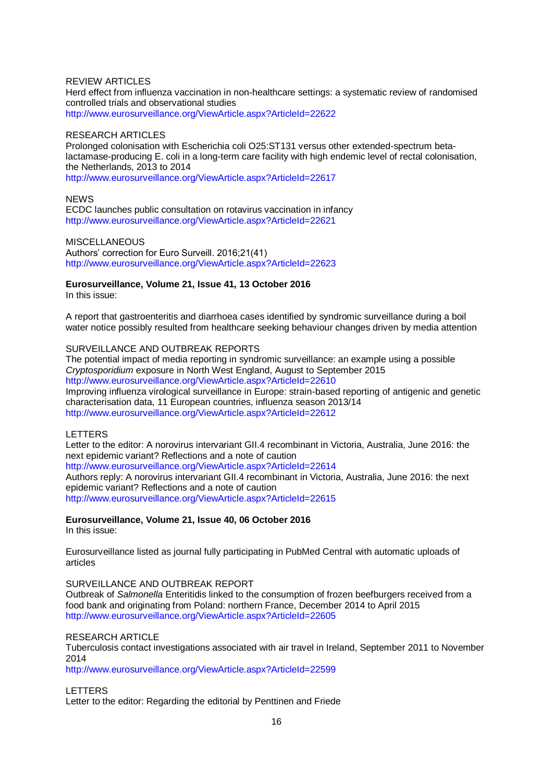#### REVIEW ARTICLES

Herd effect from influenza vaccination in non-healthcare settings: a systematic review of randomised controlled trials and observational studies <http://www.eurosurveillance.org/ViewArticle.aspx?ArticleId=22622>

#### RESEARCH ARTICLES

Prolonged colonisation with Escherichia coli O25:ST131 versus other extended-spectrum betalactamase-producing E. coli in a long-term care facility with high endemic level of rectal colonisation, the Netherlands, 2013 to 2014 <http://www.eurosurveillance.org/ViewArticle.aspx?ArticleId=22617>

#### **NEWS**

ECDC launches public consultation on rotavirus vaccination in infancy <http://www.eurosurveillance.org/ViewArticle.aspx?ArticleId=22621>

**MISCELLANEOUS** Authors' correction for Euro Surveill. 2016;21(41) <http://www.eurosurveillance.org/ViewArticle.aspx?ArticleId=22623>

#### **Eurosurveillance, Volume 21, Issue 41, 13 October 2016**

In this issue:

A report that gastroenteritis and diarrhoea cases identified by syndromic surveillance during a boil water notice possibly resulted from healthcare seeking behaviour changes driven by media attention

#### SURVEILLANCE AND OUTBREAK REPORTS

The potential impact of media reporting in syndromic surveillance: an example using a possible *Cryptosporidium* exposure in North West England, August to September 2015 <http://www.eurosurveillance.org/ViewArticle.aspx?ArticleId=22610> Improving influenza virological surveillance in Europe: strain-based reporting of antigenic and genetic characterisation data, 11 European countries, influenza season 2013/14 <http://www.eurosurveillance.org/ViewArticle.aspx?ArticleId=22612>

LETTERS

Letter to the editor: A norovirus intervariant GII.4 recombinant in Victoria, Australia, June 2016: the next epidemic variant? Reflections and a note of caution

<http://www.eurosurveillance.org/ViewArticle.aspx?ArticleId=22614>

Authors reply: A norovirus intervariant GII.4 recombinant in Victoria, Australia, June 2016: the next epidemic variant? Reflections and a note of caution

<http://www.eurosurveillance.org/ViewArticle.aspx?ArticleId=22615>

#### **Eurosurveillance, Volume 21, Issue 40, 06 October 2016** In this issue:

Eurosurveillance listed as journal fully participating in PubMed Central with automatic uploads of articles

#### SURVEILLANCE AND OUTBREAK REPORT

Outbreak of *Salmonella* Enteritidis linked to the consumption of frozen beefburgers received from a food bank and originating from Poland: northern France, December 2014 to April 2015 <http://www.eurosurveillance.org/ViewArticle.aspx?ArticleId=22605>

#### RESEARCH ARTICLE

Tuberculosis contact investigations associated with air travel in Ireland, September 2011 to November 2014

<http://www.eurosurveillance.org/ViewArticle.aspx?ArticleId=22599>

LETTERS

Letter to the editor: Regarding the editorial by Penttinen and Friede